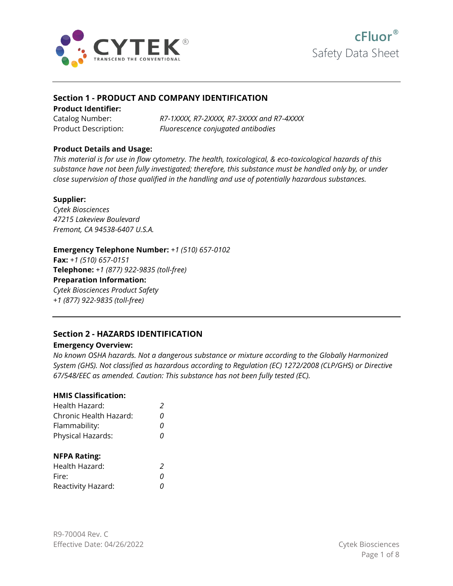



## **Section 1 - PRODUCT AND COMPANY IDENTIFICATION**

**Product Identifier:**

Catalog Number: *R7-1XXXX, R7-2XXXX, R7-3XXXX and R7-4XXXX* Product Description: *Fluorescence conjugated antibodies*

## **Product Details and Usage:**

*This material is for use in flow cytometry. The health, toxicological, & eco-toxicological hazards of this substance have not been fully investigated; therefore, this substance must be handled only by, or under close supervision of those qualified in the handling and use of potentially hazardous substances.* 

### **Supplier:**

*Cytek Biosciences 47215 Lakeview Boulevard Fremont, CA 94538-6407 U.S.A.*

### **Emergency Telephone Number:** *+1 (510) 657-0102*

**Fax:** *+1 (510) 657-0151* **Telephone:** *+1 (877) 922-9835 (toll-free)* **Preparation Information:** *Cytek Biosciences Product Safety +1 (877) 922-9835 (toll-free)*

## **Section 2 - HAZARDS IDENTIFICATION**

### **Emergency Overview:**

*No known OSHA hazards. Not a dangerous substance or mixture according to the Globally Harmonized System (GHS). Not classified as hazardous according to Regulation (EC) 1272/2008 (CLP/GHS) or Directive 67/548/EEC as amended. Caution: This substance has not been fully tested (EC).*

#### **HMIS Classification:**

| Health Hazard:<br>Chronic Health Hazard:<br>Flammability: | 2<br>0<br>0 |
|-----------------------------------------------------------|-------------|
| Physical Hazards:<br><b>NFPA Rating:</b>                  | 0           |
| Health Hazard:                                            | 2           |
| Fire:                                                     | 0           |
| Reactivity Hazard:                                        | Ω           |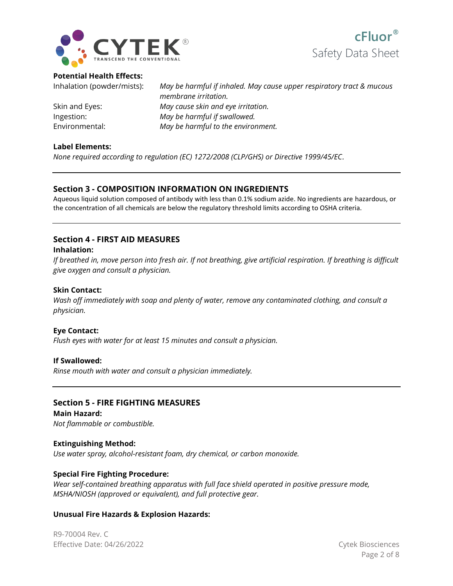



## **Potential Health Effects:**

Inhalation (powder/mists): *May be harmful if inhaled. May cause upper respiratory tract & mucous* 

*membrane irritation.* Skin and Eyes: *May cause skin and eye irritation.* Ingestion: *May be harmful if swallowed.* Environmental: *May be harmful to the environment.*

## **Label Elements:**

*None required according to regulation (EC) 1272/2008 (CLP/GHS) or Directive 1999/45/EC.*

## **Section 3 - COMPOSITION INFORMATION ON INGREDIENTS**

Aqueous liquid solution composed of antibody with less than 0.1% sodium azide. No ingredients are hazardous, or the concentration of all chemicals are below the regulatory threshold limits according to OSHA criteria.

# **Section 4 - FIRST AID MEASURES**

## **Inhalation:**

*If breathed in, move person into fresh air. If not breathing, give artificial respiration. If breathing is difficult give oxygen and consult a physician.*

## **Skin Contact:**

*Wash off immediately with soap and plenty of water, remove any contaminated clothing, and consult a physician.*

### **Eye Contact:**

*Flush eyes with water for at least 15 minutes and consult a physician.*

### **If Swallowed:**

*Rinse mouth with water and consult a physician immediately.*

## **Section 5 - FIRE FIGHTING MEASURES**

### **Main Hazard:**

*Not flammable or combustible.*

### **Extinguishing Method:**

*Use water spray, alcohol-resistant foam, dry chemical, or carbon monoxide.*

### **Special Fire Fighting Procedure:**

*Wear self-contained breathing apparatus with full face shield operated in positive pressure mode, MSHA/NIOSH (approved or equivalent), and full protective gear.*

### **Unusual Fire Hazards & Explosion Hazards:**

R9-70004 Rev. C Effective Date: 04/26/2022 Cytek Biosciences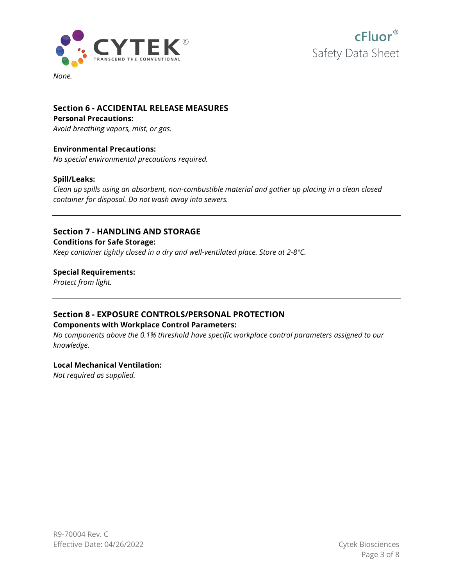

*None.*

 **cFluor®** Safety Data Sheet

## **Section 6 - ACCIDENTAL RELEASE MEASURES**

#### **Personal Precautions:**

*Avoid breathing vapors, mist, or gas.*

### **Environmental Precautions:**

*No special environmental precautions required.*

### **Spill/Leaks:**

*Clean up spills using an absorbent, non-combustible material and gather up placing in a clean closed container for disposal. Do not wash away into sewers.*

## **Section 7 - HANDLING AND STORAGE**

### **Conditions for Safe Storage:**

*Keep container tightly closed in a dry and well-ventilated place. Store at 2-8°C.*

## **Special Requirements:**

*Protect from light.*

## **Section 8 - EXPOSURE CONTROLS/PERSONAL PROTECTION**

## **Components with Workplace Control Parameters:**

*No components above the 0.1% threshold have specific workplace control parameters assigned to our knowledge.*

### **Local Mechanical Ventilation:**

*Not required as supplied.*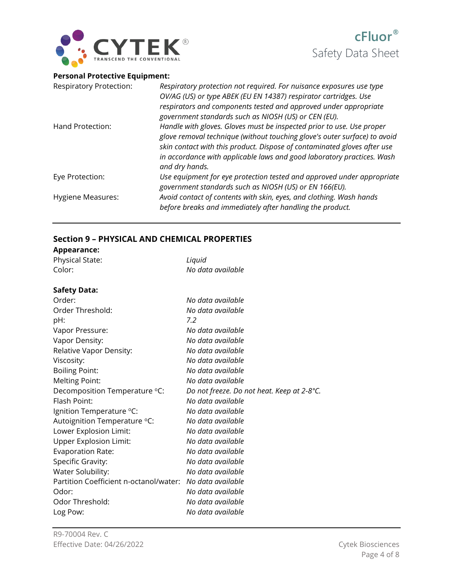



## **Personal Protective Equipment:**

| <b>Respiratory Protection:</b> | Respiratory protection not required. For nuisance exposures use type                     |
|--------------------------------|------------------------------------------------------------------------------------------|
|                                | OV/AG (US) or type ABEK (EU EN 14387) respirator cartridges. Use                         |
|                                | respirators and components tested and approved under appropriate                         |
|                                | government standards such as NIOSH (US) or CEN (EU).                                     |
| Hand Protection:               | Handle with gloves. Gloves must be inspected prior to use. Use proper                    |
|                                | glove removal technique (without touching glove's outer surface) to avoid                |
|                                | skin contact with this product. Dispose of contaminated gloves after use                 |
|                                | in accordance with applicable laws and good laboratory practices. Wash<br>and dry hands. |
| Eye Protection:                | Use equipment for eye protection tested and approved under appropriate                   |
|                                | government standards such as NIOSH (US) or EN 166(EU).                                   |
| <b>Hygiene Measures:</b>       | Avoid contact of contents with skin, eyes, and clothing. Wash hands                      |
|                                | before breaks and immediately after handling the product.                                |

## **Section 9 – PHYSICAL AND CHEMICAL PROPERTIES**

#### **Appearance:**

| <b>Physical State:</b> | Liquid            |
|------------------------|-------------------|
| Color:                 | No data available |

## **Safety Data:**

| Order:                                 | No data available                          |
|----------------------------------------|--------------------------------------------|
| Order Threshold:                       | No data available                          |
| pH:                                    | 7.2                                        |
| Vapor Pressure:                        | No data available                          |
| Vapor Density:                         | No data available                          |
| Relative Vapor Density:                | No data available                          |
| Viscosity:                             | No data available                          |
| <b>Boiling Point:</b>                  | No data available                          |
| <b>Melting Point:</b>                  | No data available                          |
| Decomposition Temperature °C:          | Do not freeze. Do not heat. Keep at 2-8°C. |
| Flash Point:                           | No data available                          |
| Ignition Temperature °C:               | No data available                          |
| Autoignition Temperature °C:           | No data available                          |
| Lower Explosion Limit:                 | No data available                          |
| <b>Upper Explosion Limit:</b>          | No data available                          |
| Evaporation Rate:                      | No data available                          |
| Specific Gravity:                      | No data available                          |
| Water Solubility:                      | No data available                          |
| Partition Coefficient n-octanol/water: | No data available                          |
| Odor:                                  | No data available                          |
| Odor Threshold:                        | No data available                          |
| Log Pow:                               | No data available                          |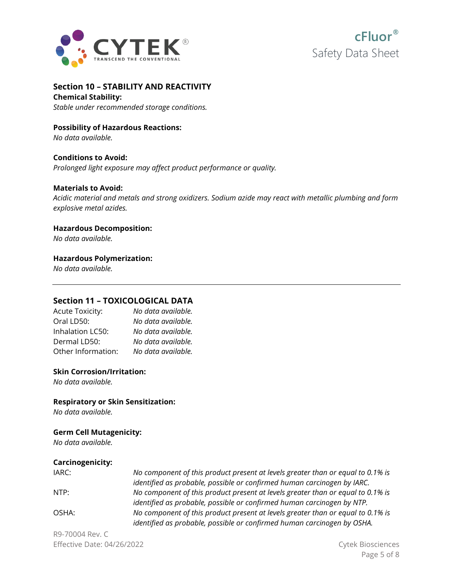



## **Section 10 – STABILITY AND REACTIVITY**

**Chemical Stability:** *Stable under recommended storage conditions.*

**Possibility of Hazardous Reactions:** *No data available.*

#### **Conditions to Avoid:**

*Prolonged light exposure may affect product performance or quality.*

#### **Materials to Avoid:**

*Acidic material and metals and strong oxidizers. Sodium azide may react with metallic plumbing and form explosive metal azides.*

## **Hazardous Decomposition:**

*No data available.*

### **Hazardous Polymerization:**

*No data available.*

## **Section 11 – TOXICOLOGICAL DATA**

| <b>Acute Toxicity:</b> | No data available. |
|------------------------|--------------------|
| Oral LD50:             | No data available. |
| Inhalation LC50:       | No data available. |
| Dermal LD50:           | No data available. |
| Other Information:     | No data available. |

#### **Skin Corrosion/Irritation:**

*No data available.*

### **Respiratory or Skin Sensitization:**

*No data available.*

#### **Germ Cell Mutagenicity:**

*No data available.*

### **Carcinogenicity:**

| IARC: | No component of this product present at levels greater than or equal to 0.1% is |
|-------|---------------------------------------------------------------------------------|
|       | identified as probable, possible or confirmed human carcinogen by IARC.         |
| NTP:  | No component of this product present at levels greater than or equal to 0.1% is |
|       | identified as probable, possible or confirmed human carcinogen by NTP.          |
| OSHA: | No component of this product present at levels greater than or equal to 0.1% is |
|       | identified as probable, possible or confirmed human carcinogen by OSHA.         |

R9-70004 Rev. C Effective Date: 04/26/2022 Cytek Biosciences

Page 5 of 8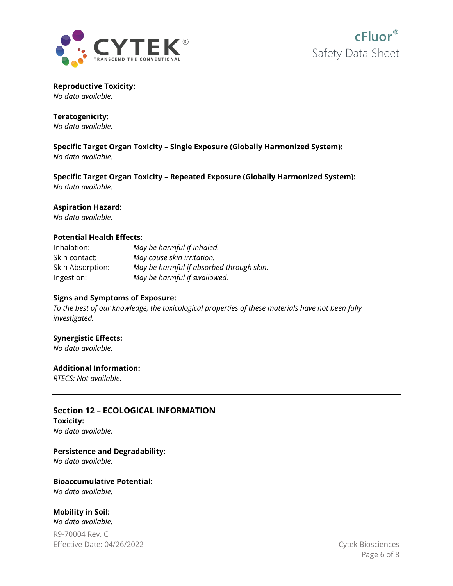



**Reproductive Toxicity:**

*No data available.*

## **Teratogenicity:**

*No data available.*

**Specific Target Organ Toxicity – Single Exposure (Globally Harmonized System):**

*No data available.*

**Specific Target Organ Toxicity – Repeated Exposure (Globally Harmonized System):** *No data available.*

## **Aspiration Hazard:**

*No data available.*

## **Potential Health Effects:**

| Inhalation:      | May be harmful if inhaled.               |
|------------------|------------------------------------------|
| Skin contact:    | May cause skin irritation.               |
| Skin Absorption: | May be harmful if absorbed through skin. |
| Ingestion:       | May be harmful if swallowed.             |

## **Signs and Symptoms of Exposure:**

*To the best of our knowledge, the toxicological properties of these materials have not been fully investigated.*

## **Synergistic Effects:**

*No data available.*

## **Additional Information:**

*RTECS: Not available.*

## **Section 12 – ECOLOGICAL INFORMATION Toxicity:** *No data available.*

**Persistence and Degradability:**

*No data available.*

**Bioaccumulative Potential:** *No data available.*

## **Mobility in Soil:**

*No data available.*

R9-70004 Rev. C Effective Date: 04/26/2022 Cytek Biosciences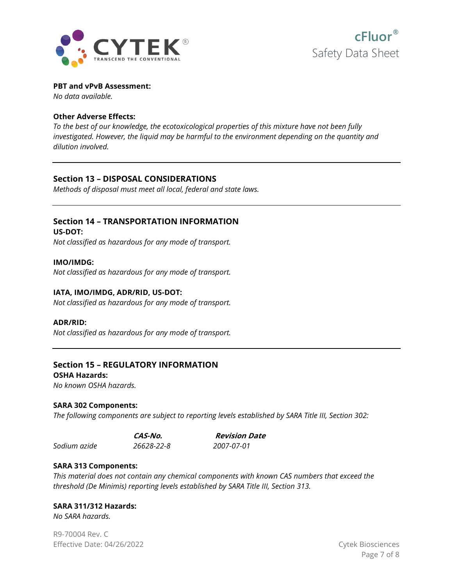



**PBT and vPvB Assessment:**

*No data available.*

## **Other Adverse Effects:**

*To the best of our knowledge, the ecotoxicological properties of this mixture have not been fully investigated. However, the liquid may be harmful to the environment depending on the quantity and dilution involved.*

## **Section 13 – DISPOSAL CONSIDERATIONS**

*Methods of disposal must meet all local, federal and state laws.*

## **Section 14 – TRANSPORTATION INFORMATION**

**US-DOT:** *Not classified as hazardous for any mode of transport.*

## **IMO/IMDG:**

*Not classified as hazardous for any mode of transport.*

## **IATA, IMO/IMDG, ADR/RID, US-DOT:**

*Not classified as hazardous for any mode of transport.*

### **ADR/RID:**

*Not classified as hazardous for any mode of transport.*

## **Section 15 – REGULATORY INFORMATION**

#### **OSHA Hazards:**

*No known OSHA hazards.*

### **SARA 302 Components:**

*The following components are subject to reporting levels established by SARA Title III, Section 302:*

*Sodium azide 26628-22-8 2007-07-01*

**CAS-No. Revision Date**

## **SARA 313 Components:**

*This material does not contain any chemical components with known CAS numbers that exceed the threshold (De Minimis) reporting levels established by SARA Title III, Section 313.*

### **SARA 311/312 Hazards:**

*No SARA hazards.*

R9-70004 Rev. C Effective Date: 04/26/2022 Cytek Biosciences